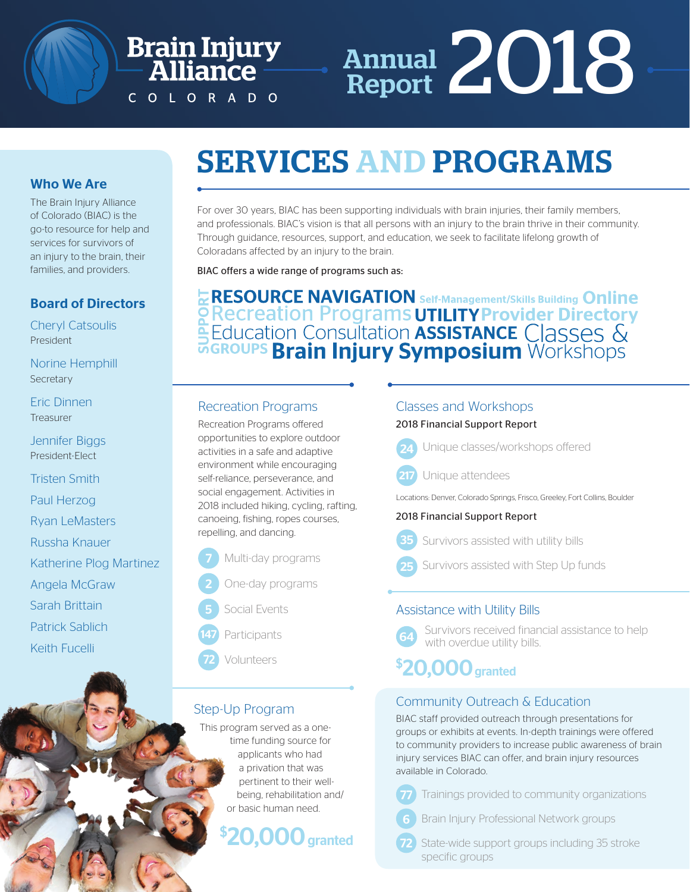

# Annual Annual 2018

# SERVICES AND PROGRAMS

For over 30 years, BIAC has been supporting individuals with brain injuries, their family members, and professionals. BIAC's vision is that all persons with an injury to the brain thrive in their community.

## Who We Are

The Brain Injury Alliance of Colorado (BIAC) is the go-to resource for help and services for survivors of an injury to the brain, their families, and providers.

## Board of Directors

Cheryl Catsoulis President

Norine Hemphill **Secretary** 

Eric Dinnen **Treasurer** 

Jennifer Biggs President-Elect

Tristen Smith

Paul Herzog

- Ryan LeMasters
- Russha Knauer
- Katherine Plog Martinez
- Angela McGraw
- Sarah Brittain
- Patrick Sablich
- Keith Fucelli



**RESOURCE NAVIGATION** Self-Management/Skills Building Online **<u> Recreation Programs UTILITY Provider Directory</u>** Education Consultation **ASSISTANCE** Classes &

#### Recreation Programs

Br<u>ain</u> Injury **Alliance** 

COLORADO

Recreation Programs offered opportunities to explore outdoor activities in a safe and adaptive environment while encouraging self-reliance, perseverance, and social engagement. Activities in 2018 included hiking, cycling, rafting, canoeing, fishing, ropes courses, repelling, and dancing.

- Multi-day programs One-day programs
- 5 Social Events
- Participants
- **Volunteers**

## Step-Up Program

This program served as a onetime funding source for applicants who had a privation that was pertinent to their wellbeing, rehabilitation and/ or basic human need.

#### \$  $0.000$  granted

#### Classes and Workshops

#### 2018 Financial Support Report



Unique classes/workshops offered

Unique attendees

Locations: Denver, Colorado Springs, Frisco, Greeley, Fort Collins, Boulder

#### 2018 Financial Support Report



Survivors assisted with Step Up funds

#### Assistance with Utility Bills

Survivors received financial assistance to help with overdue utility bills. 64

# $$20,\!000\rm$  granted

### Community Outreach & Education

BIAC staff provided outreach through presentations for groups or exhibits at events. In-depth trainings were offered to community providers to increase public awareness of brain injury services BIAC can offer, and brain injury resources available in Colorado.

- 77 Trainings provided to community organizations
- 6 Brain Injury Professional Network groups
- State-wide support groups including 35 stroke specific groups